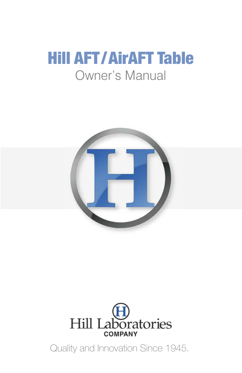# Hill AFT/AirAFT Table Owner's Manual





Quality and Innovation Since 1945.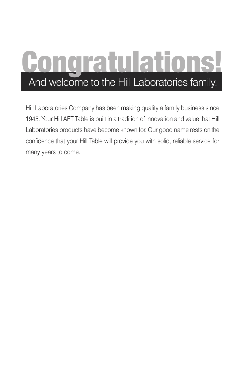# ongratulations! And welcome to the Hill Laboratories family.

Hill Laboratories Company has been making quality a family business since 1945. Your Hill AFT Table is built in a tradition of innovation and value that Hill Laboratories products have become known for. Our good name rests on the confidence that your Hill Table will provide you with solid, reliable service for many years to come.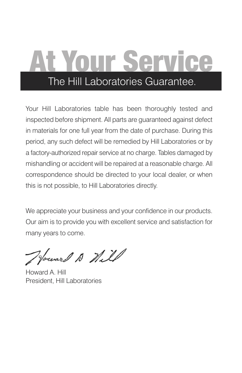# At Your Service The Hill Laboratories Guarantee.

Your Hill Laboratories table has been thoroughly tested and inspected before shipment. All parts are guaranteed against defect in materials for one full year from the date of purchase. During this period, any such defect will be remedied by Hill Laboratories or by a factory-authorized repair service at no charge. Tables damaged by mishandling or accident will be repaired at a reasonable charge. All correspondence should be directed to your local dealer, or when this is not possible, to Hill Laboratories directly.

We appreciate your business and your confidence in our products. Our aim is to provide you with excellent service and satisfaction for many years to come.

Journal A Will

Howard A. Hill President, Hill Laboratories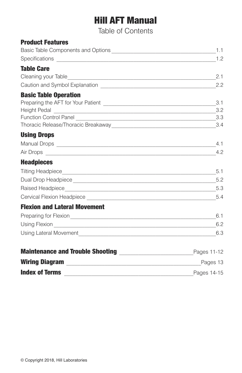# Hill AFT Manual

Table of Contents

| <b>Product Features</b>                                                                                                                                                                                                              |             |
|--------------------------------------------------------------------------------------------------------------------------------------------------------------------------------------------------------------------------------------|-------------|
|                                                                                                                                                                                                                                      | 1.1         |
|                                                                                                                                                                                                                                      |             |
| <b>Table Care</b>                                                                                                                                                                                                                    |             |
|                                                                                                                                                                                                                                      | 2.1         |
|                                                                                                                                                                                                                                      | 2.2         |
| <b>Basic Table Operation</b>                                                                                                                                                                                                         |             |
|                                                                                                                                                                                                                                      | 3.1         |
|                                                                                                                                                                                                                                      |             |
|                                                                                                                                                                                                                                      | 3.3         |
| <b>Using Drops</b>                                                                                                                                                                                                                   |             |
|                                                                                                                                                                                                                                      |             |
|                                                                                                                                                                                                                                      | 4.2         |
| Air Drops <u>experience</u> and the contract of the contract of the contract of the contract of the contract of the contract of the contract of the contract of the contract of the contract of the contract of the contract of the  |             |
| <b>Headpieces</b>                                                                                                                                                                                                                    |             |
|                                                                                                                                                                                                                                      | 5.1         |
|                                                                                                                                                                                                                                      |             |
|                                                                                                                                                                                                                                      | 5.4         |
|                                                                                                                                                                                                                                      |             |
| <b>Flexion and Lateral Movement</b>                                                                                                                                                                                                  |             |
| Preparing for Flexion <b>Contract Contract Contract Contract Contract Contract Contract Contract Contract Contract Contract Contract Contract Contract Contract Contract Contract Contract Contract Contract Contract Contract C</b> | 6.1         |
|                                                                                                                                                                                                                                      |             |
|                                                                                                                                                                                                                                      |             |
|                                                                                                                                                                                                                                      | Pages 11-12 |
|                                                                                                                                                                                                                                      | Pages 13    |
| <b>Index of Terms</b>                                                                                                                                                                                                                | Pages 14-15 |
|                                                                                                                                                                                                                                      |             |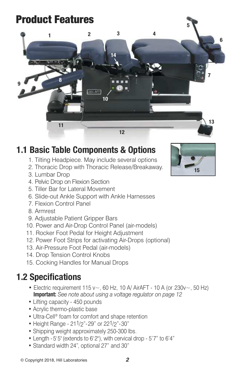# Product Features



### **1.1 Basic Table Components & Options**

- 1. Tilting Headpiece. May include several options
- 2. Thoracic Drop with Thoracic Release/Breakaway.
- 3. Lumbar Drop
- 4. Pelvic Drop on Flexion Section
- 5. Tiller Bar for Lateral Movement
- 6. Slide-out Ankle Support with Ankle Harnesses
- 7. Flexion Control Panel
- 8. Armrest
- 9. Adjustable Patient Gripper Bars
- 10. Power and Air-Drop Control Panel (air-models)
- 11. Rocker Foot Pedal for Height Adjustment
- 12. Power Foot Strips for activating Air-Drops (optional)
- 13. Air-Pressure Foot Pedal (air-models)
- 14. Drop Tension Control Knobs
- 15. Cocking Handles for Manual Drops

### **1.2 Specifications**

- Electric requirement 115 v $\sim$ , 60 Hz, 10 A/ AirAFT 10 A (or 230v $\sim$ , 50 Hz) **Important:** *See note about using a voltage regulator on page 12*
- Lifting capacity 450 pounds
- Acrylic thermo-plastic base
- Ultra-Cell<sup>®</sup> foam for comfort and shape retention
- Height Range 211/2"-29" or 221/2"-30"
- Shipping weight approximately 250-300 lbs.
- Length 5' 5"(extends to 6'2"), with cervical drop 5'7" to 6'4"
- Standard width 24", optional 27" and 30"

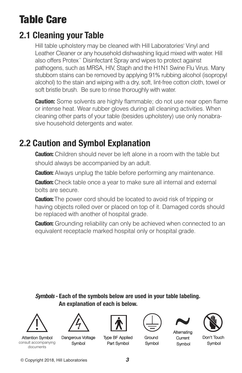# Table Care

### **2.1 Cleaning your Table**

Hill table upholstery may be cleaned with Hill Laboratories' Vinyl and Leather Cleaner or any household dishwashing liquid mixed with water. Hill also offers Protex™ Disinfectant Spray and wipes to protect against pathogens, such as MRSA, HIV, Staph and the H1N1 Swine Flu Virus. Many stubborn stains can be removed by applying 91% rubbing alcohol (isopropyl alcohol) to the stain and wiping with a dry, soft, lint-free cotton cloth, towel or soft bristle brush. Be sure to rinse thoroughly with water.

**Caution:** Some solvents are highly flammable; do not use near open flame or intense heat. Wear rubber gloves during all cleaning activities. When cleaning other parts of your table (besides upholstery) use only nonabrasive household detergents and water.

### **2.2 Caution and Symbol Explanation**

**Caution:** Children should never be left alone in a room with the table but should always be accompanied by an adult.

**Caution:** Always unplug the table before performing any maintenance.

**Caution:**Check table once a year to make sure all internal and external bolts are secure.

**Caution:**The power cord should be located to avoid risk of tripping or having objects rolled over or placed on top of it. Damaged cords should be replaced with another of hospital grade.

**Caution:** Grounding reliability can only be achieved when connected to an equivalent receptacle marked hospital only or hospital grade.

**Symbols - Each of the symbols below are used in your table labeling. An explanation of each is below.**



Attention Symbol consult accompanying documents











Don't Touch Symbol

Dangerous Voltage Symbol

Type BF Applied Part Symbol

Ground Symbol

Current Symbol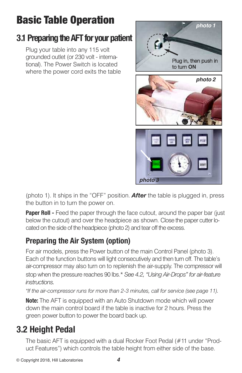# Basic Table Operation

### **3.1 Preparing the AFT for your patient**

Plug your table into any 115 volt grounded outlet (or 230 volt - international). The Power Switch is located where the power cord exits the table



(photo 1). It ships in the "OFF" position. *After* the table is plugged in, press the button in to turn the power on.

**Paper Roll -** Feed the paper through the face cutout, around the paper bar (just below the cutout) and over the headpiece as shown. Close the paper cutter located on the side of the headpiece (photo 2) and tear off the excess.

### **Preparing the Air System (option)**

For air models, press the Power button of the main Control Panel (photo 3). Each of the function buttons will light consecutively and then turn off. The table's air-compressor may also turn on to replenish the air-supply. The compressor will stop when the pressure reaches 90 lbs.\* *See 4.2, "Using Air-Drops" for air-feature instructions.*

*\*If the air-compressor runs for more than 2-3 minutes, call for service (see page 11).*

**Note:** The AFT is equipped with an Auto Shutdown mode which will power down the main control board if the table is inactive for 2 hours. Press the green power button to power the board back up.

# **3.2 Height Pedal**

The basic AFT is equipped with a dual Rocker Foot Pedal (#11 under "Product Features") which controls the table height from either side of the base.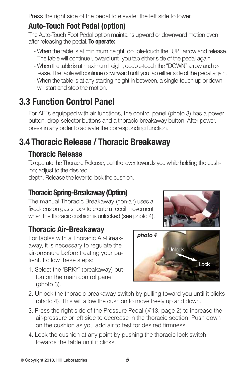Press the right side of the pedal to elevate; the left side to lower.

### **Auto-Touch Foot Pedal (option)**

The Auto-Touch Foot Pedal option maintains upward or downward motion even after releasing the pedal. **To operate:**

- When the table is at minimum height, double-touch the "UP" arrow and release. The table will continue upward until you tap either side of the pedal again.
- When the table is at maximum height, double-touch the "DOWN" arrowand release. The tablewill continue downward until you tap either side of the pedal again.
- When the table is at any starting height in between, a single-touch up or down will start and stop the motion.

# **3.3 Function Control Panel**

For AFTs equipped with air functions, the control panel (photo 3) has a power button, drop-selector buttons and a thoracic-breakaway button. After power, press in any order to activate the corresponding function.

# **3.4 Thoracic Release / Thoracic Breakaway**

#### **Thoracic Release**

To operate the Thoracic Release, pull the lever towards you while holding the cushion; adjust to the desired

depth. Release the lever to lock the cushion.

#### **Thoracic Spring-Breakaway (Option)**

The manual Thoracic Breakaway (non-air) uses a fixed-tension gas shock to create a recoil movement when the thoracic cushion is unlocked (see photo 4).

### **Thoracic Air-Breakaway**

For tables with a Thoracic Air-Breakaway, it is necessary to regulate the air-pressure before treating your patient. Follow these steps:

1. Select the 'BRKY' (breakaway) button on the main control panel (photo 3).





- 2. Unlock the thoracic breakaway switch by pulling toward you until it clicks (photo 4). This will allow the cushion to move freely up and down.
- 3. Press the right side of the Pressure Pedal (#13, page 2) to increase the air-pressure or left side to decrease in the thoracic section. Push down on the cushion as you add air to test for desired firmness.
- 4. Lock the cushion at any point by pushing the thoracic lock switch towards the table until it clicks.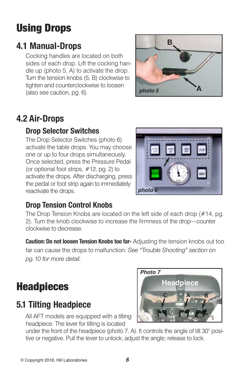# Using Drops

### **4.1 Manual-Drops**

Cocking handles are located on both sides of each drop. Lift the cocking handle up (photo 5, A) to activate the drop. Turn the tension knobs (5, B) clockwise to tighten and counterclockwise to loosen (also see caution, pg. 6).



# **4.2 Air-Drops**

### **Drop Selector Switches**

The Drop Selector Switches (photo 6) activate the table drops. You may choose one or up to four drops simultaneously. Once selected, press the Pressure Pedal (or optional foot strips, #12, pg. 2) to activate the drops. After discharging, press the pedal or foot strip again to immediately reactivate the drops.



### **Drop Tension Control Knobs**

The Drop Tension Knobs are located on the left side of each drop (#14, pg. 2). Turn the knob clockwise to increase the firmness of the drop—counter clockwise to decrease.

**Caution: Do not loosen Tension Knobs too far-** Adjusting the tension knobs out too far can cause the drops to malfunction. *See "Trouble Shooting" section on pg.10 for more detail.*

# **Headpieces**

### **5.1 Tilting Headpiece**

All AFT models are equipped with a tilting headpiece. The lever for tilting is located



under the front of the headpiece (photo 7, A). It controls the angle of tilt 30° positive or negative. Pull the lever to unlock; adjust the angle; release to lock.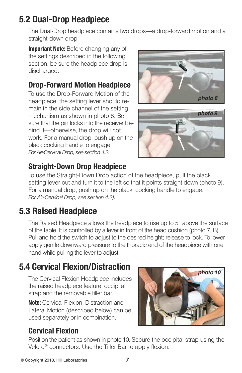### **5.2 Dual-Drop Headpiece**

The Dual-Drop headpiece contains two drops—a drop-forward motion and a straight-down drop.

**Important Note:** Before changing any of the settings described in the following section, be sure the headpiece drop is discharged.

#### **Drop-Forward Motion Headpiece**

To use the Drop-Forward Motion of the headpiece, the setting lever should remain in the side channel of the setting mechanism as shown in photo 8. Be sure that the pin locks into the receiver behind it—otherwise, the drop will not work. For a manual drop, push up on the black cocking handle to engage. *For Air-Cervical Drop, see section 4.2.*





### **Straight-Down Drop Headpiece**

To use the Straight-Down Drop action of the headpiece, pull the black setting lever out and turn it to the left so that it points straight down (photo 9). For a manual drop, push up on the black cocking handle to engage. *For Air-Cervical Drop, see section 4.2).*

### **5.3 Raised Headpiece**

The Raised Headpiece allows the headpiece to rise up to 5" above the surface of the table. It is controlled by a lever in front of the head cushion (photo 7, B). Pull and hold the switch to adjust to the desired height; release to lock. To lower, apply gentle downward pressure to the thoracic end of the headpiece with one hand while pulling the lever to adjust.

# **5.4 Cervical Flexion/Distraction**

The Cervical Flexion Headpiece includes the raised headpiece feature, occipital strap and the removable tiller bar.

**Note:** Cervical Flexion, Distraction and Lateral Motion (described below) can be used separately or in combination.



### **Cervical Flexion**

Position the patient as shown in photo 10. Secure the occipital strap using the Velcro® connectors. Use the Tiller Bar to apply flexion.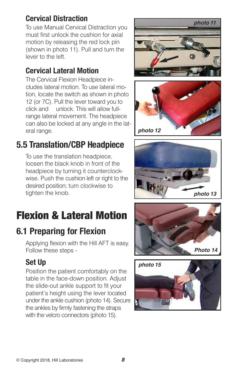### **Cervical Distraction**

To use Manual Cervical Distraction you must first unlock the cushion for axial motion by releasing the red lock pin (shown in photo 11). Pull and turn the lever to the left.

#### **Cervical Lateral Motion**

The Cervical Flexion Headpiece includes lateral motion. To use lateral motion, locate the switch as shown in photo 12 (or 7C). Pull the lever toward you to click and unlock. This will allow fullrange lateral movement. The headpiece can also be locked at any angle in the lateral range.

### **5.5 Translation/CBP Headpiece**

To use the translation headpiece, loosen the black knob in front of the headpiece by turning it counterclockwise. Push the cushion left or right to the desired position; turn clockwise to tighten the knob.

# Flexion & Lateral Motion

# **6.1 Preparing for Flexion**

Applying flexion with the Hill AFT is easy. Follow these steps -

### **Set Up**

Position the patient comfortably on the table in the face-down position. Adjust the slide-out ankle support to fit your patient's height using the lever located under the ankle cushion (photo 14). Secure the ankles by firmly fastening the straps with the velcro connectors (photo 15).









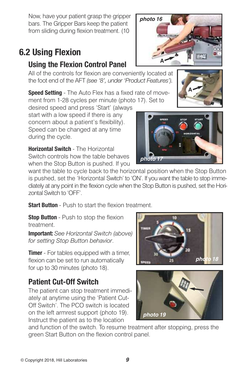Now, have your patient grasp the gripper bars. The Gripper Bars keep the patient from sliding during flexion treatment. (10

### **6.2 Using Flexion**

#### **Using the Flexion Control Panel**

All of the controls for flexion are conveniently located at the foot end of the AFT *(see '8', under 'Product Features').*

**Speed Setting** - The Auto Flex has a fixed rate of movement from 1-28 cycles per minute (photo 17). Set to

desired speed and press 'Start' (always start with a low speed if there is any concern about a patient's flexibility). Speed can be changed at any time during the cycle.

**Horizontal Switch** - The Horizontal Switch controls how the table behaves when the Stop Button is pushed. If you

want the table to cycle back to the horizontal position when the Stop Button is pushed, set the 'Horizontal Switch' to 'ON'. If you want the table to stop immediately at any point in the flexion cycle when the Stop Button is pushed, set the Horizontal Switch to 'OFF'.

*photo 17*

**Start Button** - Push to start the flexion treatment.

**Stop Button** - Push to stop the flexion treatment.

**Important:** *See Horizontal Switch (above) for setting Stop Button behavior*.

**Timer** - For tables equipped with a timer, flexion can be set to run automatically for up to 30 minutes (photo 18).

### **Patient Cut-Off Switch**

The patient can stop treatment immediately at anytime using the 'Patient Cut-Off Switch'. The PCO switch is located on the left armrest support (photo 19). Instruct the patient as to the location

and function of the switch. To resume treatment after stopping, press the green Start Button on the flexion control panel.









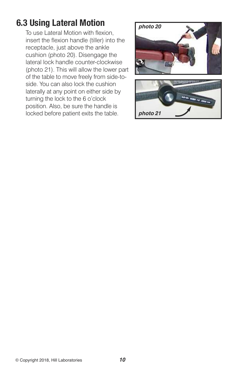### **6.3 Using Lateral Motion**

To use Lateral Motion with flexion, insert the flexion handle (tiller) into the receptacle, just above the ankle cushion (photo 20). Disengage the lateral lock handle counter-clockwise (photo 21). This will allow the lower part of the table to move freely from side-toside. You can also lock the cushion laterally at any point on either side by turning the lock to the 6 o'clock position. Also, be sure the handle is locked before patient exits the table.

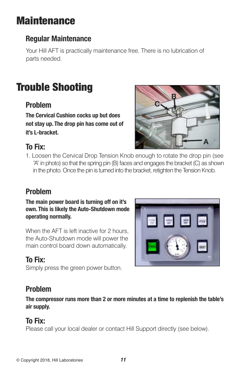# **Maintenance**

### **Regular Maintenance**

Your Hill AFT is practically maintenance free. There is no lubrication of parts needed.

# Trouble Shooting

#### **Problem**

**The Cervical Cushion cocks up but does not stay up. The drop pin has come out of it's L-bracket.**

### **To Fix:**



1. Loosen the Cervical Drop Tension Knob enough to rotate the drop pin (see "A" in photo) so that the spring pin (B) faces and engages the bracket (C) as shown in the photo. Once the pin is turned into the bracket, retighten the Tension Knob.

### **Problem**

**The main power board is turning off on it's own. This is likely the Auto-Shutdown mode operating normally.**

When the AFT is left inactive for 2 hours, the Auto-Shutdown mode will power the main control board down automatically.

### **To Fix:**

Simply press the green power button.

### **Problem**

**The compressor runs more than 2 or more minutes at a time to replenish the table's air supply.**

#### **To Fix:**

Please call your local dealer or contact Hill Support directly (see below).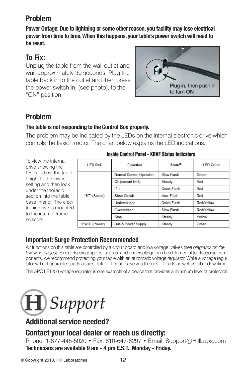#### **Problem**

**Power Outage:Due to lightning or some other reason, you facility may lose electrical power from time to time.When this happens, your table's power switch will need to be reset.**

#### **To Fix:**

Unplug the table from the wall outlet and wait approximately 30 seconds. Plug the table back in to the outlet and then press the power switch in, (see photo), to the "ON" position



### **Problem**

#### **The table is not responding to the Control Box properly.**

The problem may be indicated by the LEDs on the internal electronic drive which controls the flexion motor. The chart below explains the LED indications.

To view the internal drive showing the LEDs, adjust the table height to the lowest setting and then look under the thoracic section into the table base interior. The electronic drive is mounted to the internal frame scissors.

| LED Ref.      | Function                 | State <sup>(1)</sup> | <b>LED Color</b> |
|---------------|--------------------------|----------------------|------------------|
| "ST" (Status) | Normal Control Operation | Slow Flash           | Green            |
|               | CL (current limit)       | Steady               | Red              |
|               | $l^2$ t                  | Quick Flash          | Red              |
|               | <b>Short Circuit</b>     | slow Flash           | Red              |
|               | Undervoltage             | Quick Flash          | Red/Yellow       |
|               | Overvoltage              | Slow Flash           | Red/Yellow       |
|               | Stop                     | Steady               | Yellow           |
| "PWR" (Power) | Bus & Power Supply       | Steady               | Green            |

#### **Inside Control Panel - KBVF Status Indicators**

#### **Important: Surge Protection Recommended**

Air functions on this table are controlled by a circuit board and low voltage valves *(see diagrams on the following pages)*. Since electrical spikes, surges and undervoltage can be detrimental to electronic components, we recommend protecting your table with an automatic voltage regulator. While a voltage regulator will not guarantee parts against failure, it could save you the cost of parts as well as table downtime.

The APC LE1200 voltage regulator is one example of a device that provides a minimum level of protection.



### **Additional service needed?**

#### **Contact your local dealer or reach us directly:**

Phone: 1-877-445-5020 • Fax: 610-647-6297 • Email: Support@HillLabs.com **Technicians are available 9 am - 4 pm E.S.T., Monday - Friday.**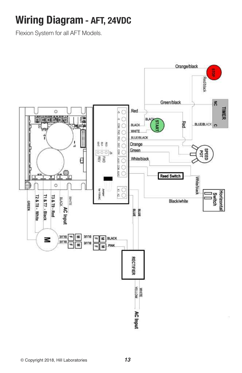# **Wiring Diagram - AFT, 24VDC**

Flexion System for all AFT Models.

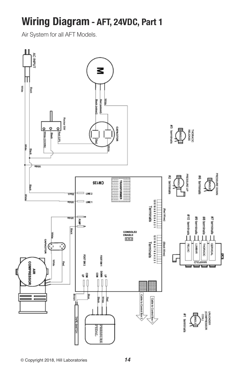# **Wiring Diagram - AFT, 24VDC, Part 1**

Air System for all AFT Models.

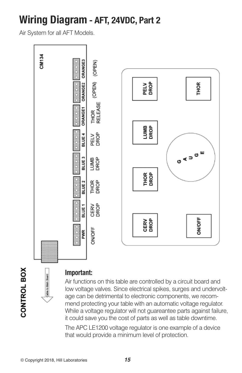# **Wiring Diagram - AFT, 24VDC, Part 2**

Air System for all AFT Models.



CONTROL BOX

#### **Important:**

Air functions on this table are controlled by a circuit board and low voltage valves. Since electrical spikes, surges and undervoltage can be detrimental to electronic components, we recommend protecting your table with an automatic voltage regulator. While a voltage regulator will not guareantee parts against failure, it could save you the cost of parts as well as table downtime.

The APC LE1200 voltage regulator is one example of a device that would provide a minimum level of protection.

Cable to Main Board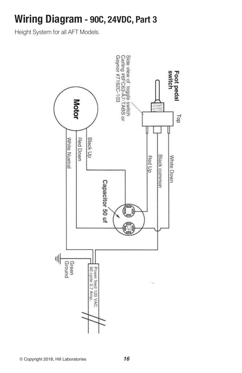# **Wiring Diagram - 90C, 24VDC, Part 3**

Height System for all AFT Models.

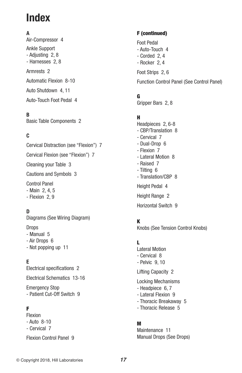# **Index**

#### **A**

Air-Compressor 4 Ankle Support - Adjusting 2, 8 - Harnesses 2, 8 Armrests 2 Automatic Flexion 8-10 Auto Shutdown 4, 11 Auto-Touch Foot Pedal 4

**B**

Basic Table Components 2

#### **C**

Cervical Distraction (see "Flexion") 7 Cervical Flexion (see "Flexion") 7 Cleaning your Table 3 Cautions and Symbols 3 Control Panel - Main 2, 4, 5 - Flexion 2, 9

#### **D**

Diagrams (See Wiring Diagram)

Drops

- Manual 5
- Air Drops 6
- Not popping up 11

**E**

Electrical specifications 2

Electrical Schematics 13-16

Emergency Stop - Patient Cut-Off Switch 9

#### F

Flexion - Auto 8-10 - Cervical 7

Flexion Control Panel 9

#### F (continued)

Foot Pedal - Auto-Touch 4 - Corded 2, 4 - Rocker 2, 4 Foot Strips 2, 6 Function Control Panel (See Control Panel)

#### G

Gripper Bars 2, 8

#### H

Headpieces 2, 6-8 - CBP/Translation 8 - Cervical 7 - Dual-Drop 6 - Flexion 7 - Lateral Motion 8 - Raised 7 - Tilting 6 - Translation/CBP 8 Height Pedal 4 Height Range 2 Horizontal Switch 9

#### K

Knobs (See Tension Control Knobs)

#### L

Lateral Motion - Cervical 8 - Pelvic 9, 10

Lifting Capacity 2

Locking Mechanisms

- Headpiece 6, 7
- Lateral Flexion 9
- Thoracic Breakaway 5
- Thoracic Release 5

#### M

Maintenance 11 Manual Drops (See Drops)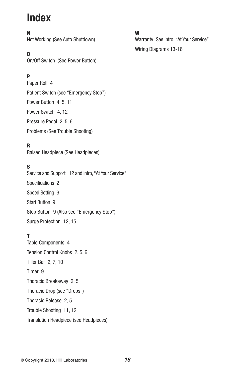# **Index**

#### N

Not Working (See Auto Shutdown)

#### O

On/Off Switch (See Power Button)

#### P

Paper Roll 4 Patient Switch (see "Emergency Stop") Power Button 4, 5, 11 Power Switch 4, 12 Pressure Pedal 2, 5, 6 Problems (See Trouble Shooting)

#### R

Raised Headpiece (See Headpieces)

#### S

Service and Support 12 and intro, "At Your Service" Specifications 2 Speed Setting 9 Start Button 9 Stop Button 9 (Also see "Emergency Stop") Surge Protection 12, 15

#### T

Table Components 4 Tension Control Knobs 2, 5, 6 Tiller Bar 2, 7, 10 Timer 9 Thoracic Breakaway 2, 5 Thoracic Drop (see "Drops") Thoracic Release 2, 5 Trouble Shooting 11, 12 Translation Headpiece (see Headpieces)

#### W

Warranty See intro, "At Your Service" Wiring Diagrams 13-16